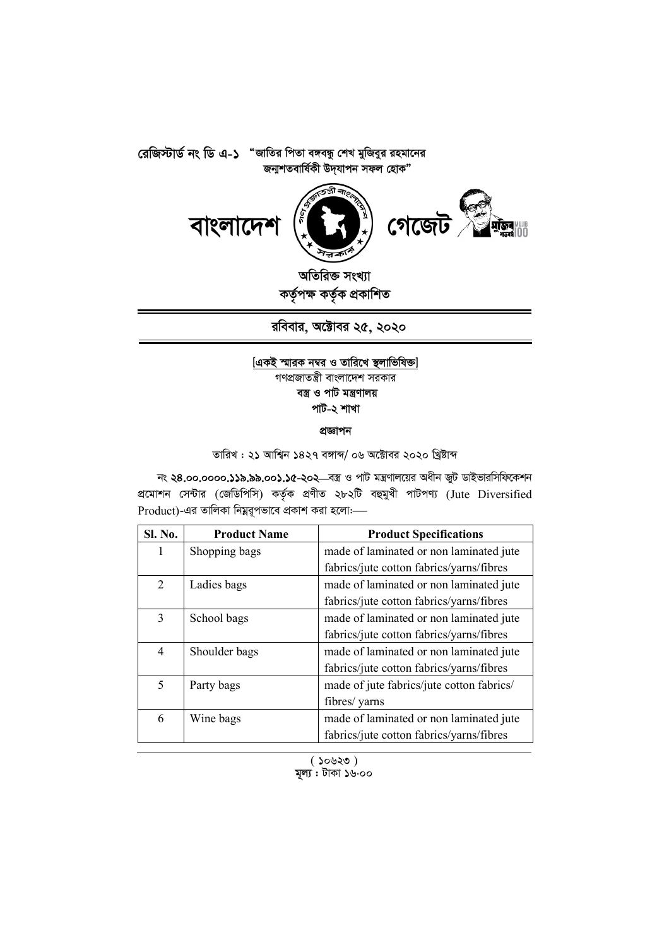**রেজিস্টার্ড নং ডি এ-১ "জাতির পিতা বঙ্গবন্ধু শেখ মুজিবুর রহমানের** জন্মশতবাৰ্ষিকী উদ্যাপন সফল হোক"



অতিরিক্ত সংখ্যা কৰ্তৃপক্ষ কৰ্তৃক প্ৰকাশিত

**রবিবার, অক্টোবর ২৫, ২০২০** 

## $[$ একই স্মারক নম্বর ও তারিখে স্থলাভিষিক্ত] গণপ্রজাতন্ত্রী বাংলাদেশ সরকার বস্ত্ৰ ও পাট মন্ত্ৰণালয় পাট-২ শাখা

প্ৰজ্ঞাপন

তারিখ : ২১ আশ্বিন ১৪২৭ বঙ্গাব্দ/ ০৬ অক্টোবর ২০২০ খ্রিষ্টাব্দ

নং ২৪.০০.০০০০.১১৯.৯৯.০০১.১৫-২০২<sup>\_\_</sup>বস্ত্র ও পাট মন্ত্রণালয়ের অধীন জুট ডাইভারসিফিকেশন প্ৰমোশন সেন্টার (জেডিপিসি) কৰ্তৃক প্ৰণীত ২৮২টি বহুমুখী পাটপণ্য (Jute Diversified Product)-এর তালিকা নিম্নরূপভাবে প্রকাশ করা হলোঃ-

| Sl. No.        | <b>Product Name</b> | <b>Product Specifications</b>             |
|----------------|---------------------|-------------------------------------------|
| 1              | Shopping bags       | made of laminated or non laminated jute   |
|                |                     | fabrics/jute cotton fabrics/yarns/fibres  |
| $\overline{2}$ | Ladies bags         | made of laminated or non laminated jute   |
|                |                     | fabrics/jute cotton fabrics/yarns/fibres  |
| 3              | School bags         | made of laminated or non laminated jute   |
|                |                     | fabrics/jute cotton fabrics/yarns/fibres  |
| $\overline{4}$ | Shoulder bags       | made of laminated or non laminated jute   |
|                |                     | fabrics/jute cotton fabrics/yarns/fibres  |
| 5              | Party bags          | made of jute fabrics/jute cotton fabrics/ |
|                |                     | fibres/ yarns                             |
| 6              | Wine bags           | made of laminated or non laminated jute   |
|                |                     | fabrics/jute cotton fabrics/yarns/fibres  |

 $($  50 $\vee$ 20) **মূল্য :** টাকা ১৬.০০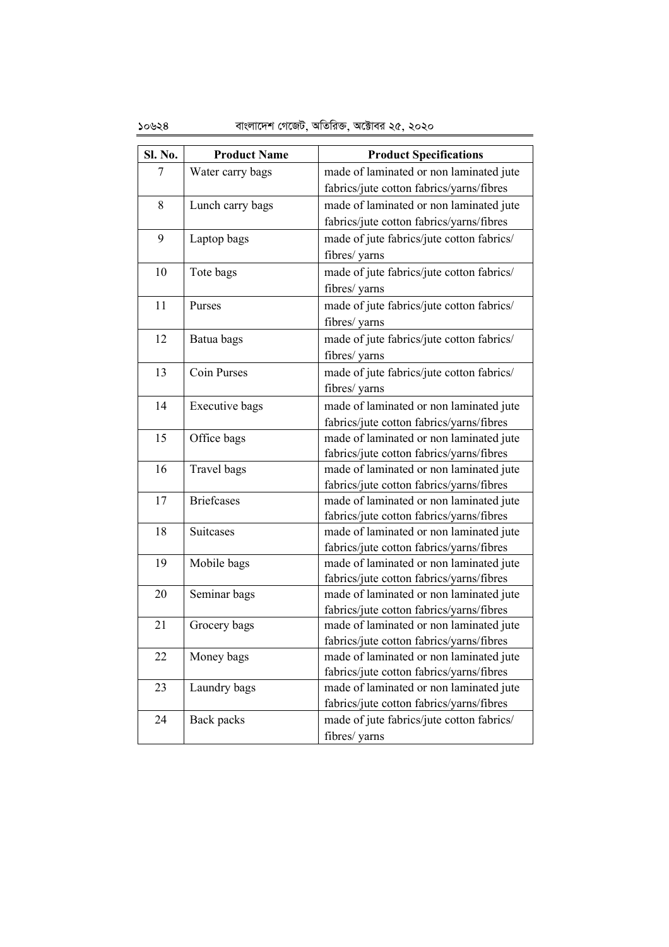| Sl. No. | <b>Product Name</b>   | <b>Product Specifications</b>                                                       |
|---------|-----------------------|-------------------------------------------------------------------------------------|
| 7       | Water carry bags      | made of laminated or non laminated jute                                             |
|         |                       | fabrics/jute cotton fabrics/yarns/fibres                                            |
| 8       | Lunch carry bags      | made of laminated or non laminated jute                                             |
|         |                       | fabrics/jute cotton fabrics/yarns/fibres                                            |
| 9       | Laptop bags           | made of jute fabrics/jute cotton fabrics/                                           |
|         |                       | fibres/ yarns                                                                       |
| 10      | Tote bags             | made of jute fabrics/jute cotton fabrics/                                           |
|         |                       | fibres/ yarns                                                                       |
| 11      | Purses                | made of jute fabrics/jute cotton fabrics/                                           |
|         |                       | fibres/ yarns                                                                       |
| 12      | Batua bags            | made of jute fabrics/jute cotton fabrics/                                           |
|         |                       | fibres/ yarns                                                                       |
| 13      | <b>Coin Purses</b>    | made of jute fabrics/jute cotton fabrics/                                           |
|         |                       | fibres/ yarns                                                                       |
| 14      | <b>Executive</b> bags | made of laminated or non laminated jute                                             |
|         |                       | fabrics/jute cotton fabrics/yarns/fibres                                            |
| 15      | Office bags           | made of laminated or non laminated jute                                             |
|         |                       | fabrics/jute cotton fabrics/yarns/fibres                                            |
| 16      | Travel bags           | made of laminated or non laminated jute                                             |
|         |                       | fabrics/jute cotton fabrics/yarns/fibres                                            |
| 17      | <b>Briefcases</b>     | made of laminated or non laminated jute                                             |
|         |                       | fabrics/jute cotton fabrics/yarns/fibres                                            |
| 18      | <b>Suitcases</b>      | made of laminated or non laminated jute                                             |
|         |                       | fabrics/jute cotton fabrics/yarns/fibres                                            |
| 19      | Mobile bags           | made of laminated or non laminated jute                                             |
| 20      |                       | fabrics/jute cotton fabrics/yarns/fibres                                            |
|         | Seminar bags          | made of laminated or non laminated jute<br>fabrics/jute cotton fabrics/yarns/fibres |
| 21      | Grocery bags          | made of laminated or non laminated jute                                             |
|         |                       | fabrics/jute cotton fabrics/yarns/fibres                                            |
| 22      | Money bags            | made of laminated or non laminated jute                                             |
|         |                       | fabrics/jute cotton fabrics/yarns/fibres                                            |
| 23      | Laundry bags          | made of laminated or non laminated jute                                             |
|         |                       | fabrics/jute cotton fabrics/yarns/fibres                                            |
| 24      | Back packs            | made of jute fabrics/jute cotton fabrics/                                           |
|         |                       | fibres/ yarns                                                                       |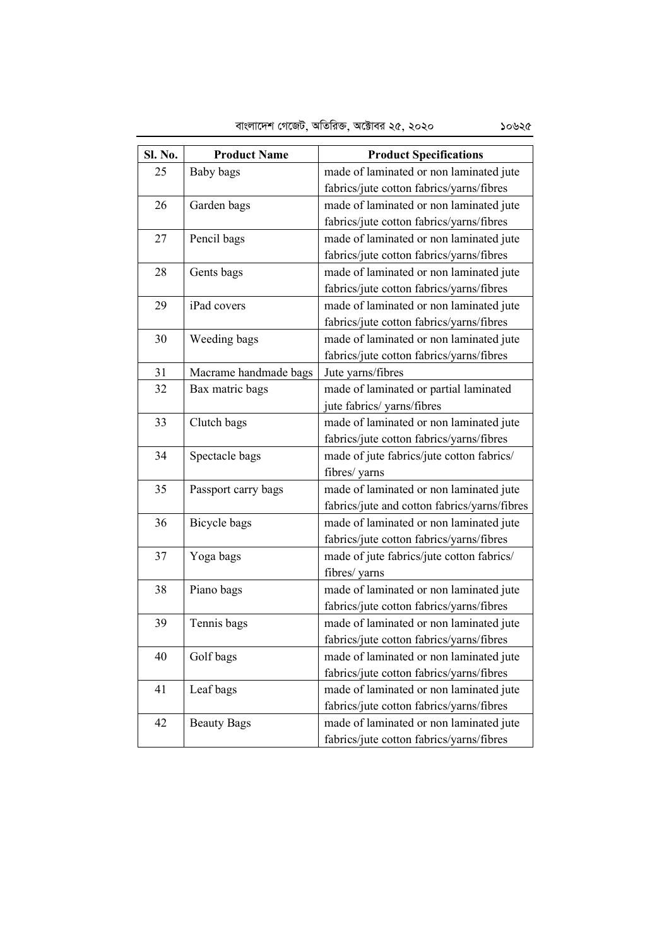| Sl. No. | <b>Product Name</b>   | <b>Product Specifications</b>                |
|---------|-----------------------|----------------------------------------------|
| 25      | Baby bags             | made of laminated or non laminated jute      |
|         |                       | fabrics/jute cotton fabrics/yarns/fibres     |
| 26      | Garden bags           | made of laminated or non laminated jute      |
|         |                       | fabrics/jute cotton fabrics/yarns/fibres     |
| 27      | Pencil bags           | made of laminated or non laminated jute      |
|         |                       | fabrics/jute cotton fabrics/yarns/fibres     |
| 28      | Gents bags            | made of laminated or non laminated jute      |
|         |                       | fabrics/jute cotton fabrics/yarns/fibres     |
| 29      | iPad covers           | made of laminated or non laminated jute      |
|         |                       | fabrics/jute cotton fabrics/yarns/fibres     |
| 30      | Weeding bags          | made of laminated or non laminated jute      |
|         |                       | fabrics/jute cotton fabrics/yarns/fibres     |
| 31      | Macrame handmade bags | Jute yarns/fibres                            |
| 32      | Bax matric bags       | made of laminated or partial laminated       |
|         |                       | jute fabrics/ yarns/fibres                   |
| 33      | Clutch bags           | made of laminated or non laminated jute      |
|         |                       | fabrics/jute cotton fabrics/yarns/fibres     |
| 34      | Spectacle bags        | made of jute fabrics/jute cotton fabrics/    |
|         |                       | fibres/ yarns                                |
| 35      | Passport carry bags   | made of laminated or non laminated jute      |
|         |                       | fabrics/jute and cotton fabrics/yarns/fibres |
| 36      | Bicycle bags          | made of laminated or non laminated jute      |
|         |                       | fabrics/jute cotton fabrics/yarns/fibres     |
| 37      | Yoga bags             | made of jute fabrics/jute cotton fabrics/    |
|         |                       | fibres/ yarns                                |
| 38      | Piano bags            | made of laminated or non laminated jute      |
|         |                       | fabrics/jute cotton fabrics/yarns/fibres     |
| 39      | Tennis bags           | made of laminated or non laminated jute      |
|         |                       | fabrics/jute cotton fabrics/yarns/fibres     |
| 40      | Golf bags             | made of laminated or non laminated jute      |
|         |                       | fabrics/jute cotton fabrics/yarns/fibres     |
| 41      | Leaf bags             | made of laminated or non laminated jute      |
|         |                       | fabrics/jute cotton fabrics/yarns/fibres     |
| 42      | <b>Beauty Bags</b>    | made of laminated or non laminated jute      |
|         |                       | fabrics/jute cotton fabrics/yarns/fibres     |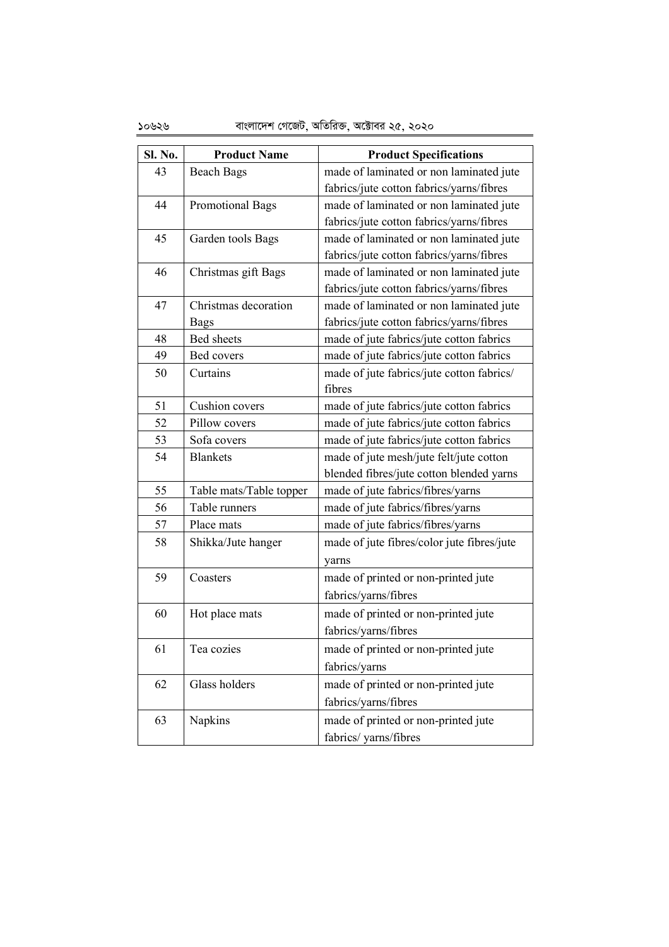# 10626 evsjv‡`k †M‡RU, AwZwi³, A‡±vei 25, 2020

| Sl. No. | <b>Product Name</b>     | <b>Product Specifications</b>              |
|---------|-------------------------|--------------------------------------------|
| 43      | <b>Beach Bags</b>       | made of laminated or non laminated jute    |
|         |                         | fabrics/jute cotton fabrics/yarns/fibres   |
| 44      | <b>Promotional Bags</b> | made of laminated or non laminated jute    |
|         |                         | fabrics/jute cotton fabrics/yarns/fibres   |
| 45      | Garden tools Bags       | made of laminated or non laminated jute    |
|         |                         | fabrics/jute cotton fabrics/yarns/fibres   |
| 46      | Christmas gift Bags     | made of laminated or non laminated jute    |
|         |                         | fabrics/jute cotton fabrics/yarns/fibres   |
| 47      | Christmas decoration    | made of laminated or non laminated jute    |
|         | <b>Bags</b>             | fabrics/jute cotton fabrics/yarns/fibres   |
| 48      | Bed sheets              | made of jute fabrics/jute cotton fabrics   |
| 49      | Bed covers              | made of jute fabrics/jute cotton fabrics   |
| 50      | Curtains                | made of jute fabrics/jute cotton fabrics/  |
|         |                         | fibres                                     |
| 51      | Cushion covers          | made of jute fabrics/jute cotton fabrics   |
| 52      | Pillow covers           | made of jute fabrics/jute cotton fabrics   |
| 53      | Sofa covers             | made of jute fabrics/jute cotton fabrics   |
| 54      | <b>Blankets</b>         | made of jute mesh/jute felt/jute cotton    |
|         |                         | blended fibres/jute cotton blended yarns   |
| 55      | Table mats/Table topper | made of jute fabrics/fibres/yarns          |
| 56      | Table runners           | made of jute fabrics/fibres/yarns          |
| 57      | Place mats              | made of jute fabrics/fibres/yarns          |
| 58      | Shikka/Jute hanger      | made of jute fibres/color jute fibres/jute |
|         |                         | yarns                                      |
| 59      | Coasters                | made of printed or non-printed jute        |
|         |                         | fabrics/yarns/fibres                       |
| 60      | Hot place mats          | made of printed or non-printed jute        |
|         |                         | fabrics/yarns/fibres                       |
| 61      | Tea cozies              | made of printed or non-printed jute        |
|         |                         | fabrics/yarns                              |
| 62      | Glass holders           | made of printed or non-printed jute        |
|         |                         | fabrics/yarns/fibres                       |
| 63      | Napkins                 | made of printed or non-printed jute        |
|         |                         |                                            |
|         |                         | fabrics/yarns/fibres                       |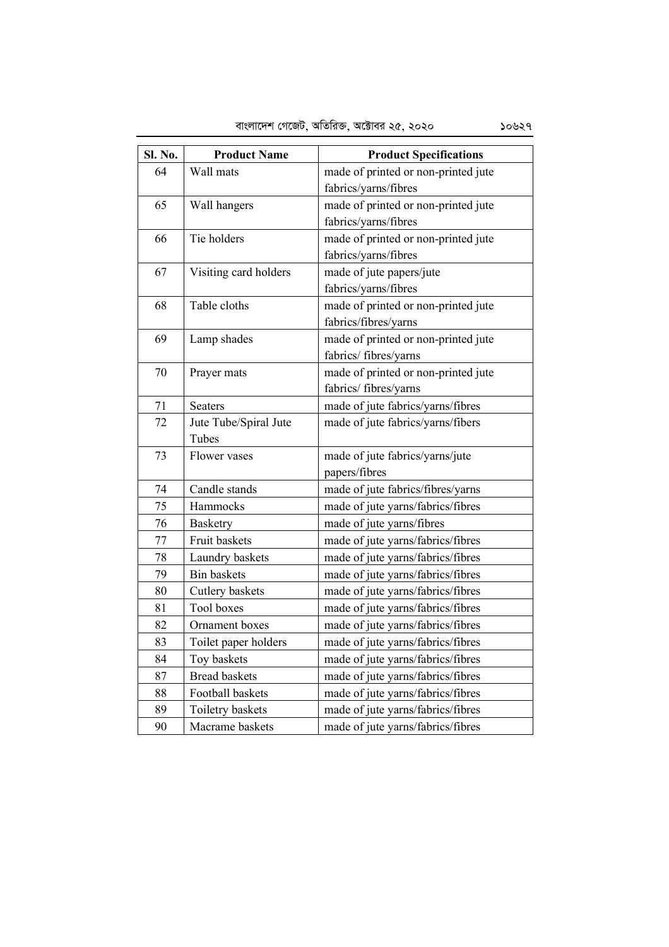| Sl. No. | <b>Product Name</b>   | <b>Product Specifications</b>       |
|---------|-----------------------|-------------------------------------|
| 64      | Wall mats             | made of printed or non-printed jute |
|         |                       | fabrics/yarns/fibres                |
| 65      | Wall hangers          | made of printed or non-printed jute |
|         |                       | fabrics/yarns/fibres                |
| 66      | Tie holders           | made of printed or non-printed jute |
|         |                       | fabrics/yarns/fibres                |
| 67      | Visiting card holders | made of jute papers/jute            |
|         |                       | fabrics/yarns/fibres                |
| 68      | Table cloths          | made of printed or non-printed jute |
|         |                       | fabrics/fibres/yarns                |
| 69      | Lamp shades           | made of printed or non-printed jute |
|         |                       | fabrics/fibres/yarns                |
| 70      | Prayer mats           | made of printed or non-printed jute |
|         |                       | fabrics/fibres/yarns                |
| 71      | <b>Seaters</b>        | made of jute fabrics/yarns/fibres   |
| 72      | Jute Tube/Spiral Jute | made of jute fabrics/yarns/fibers   |
|         | Tubes                 |                                     |
| 73      | Flower vases          | made of jute fabrics/yarns/jute     |
|         |                       | papers/fibres                       |
| 74      | Candle stands         | made of jute fabrics/fibres/yarns   |
| 75      | Hammocks              | made of jute yarns/fabrics/fibres   |
| 76      | Basketry              | made of jute yarns/fibres           |
| 77      | Fruit baskets         | made of jute yarns/fabrics/fibres   |
| 78      | Laundry baskets       | made of jute yarns/fabrics/fibres   |
| 79      | <b>Bin baskets</b>    | made of jute yarns/fabrics/fibres   |
| 80      | Cutlery baskets       | made of jute yarns/fabrics/fibres   |
| 81      | Tool boxes            | made of jute yarns/fabrics/fibres   |
| 82      | Ornament boxes        | made of jute yarns/fabrics/fibres   |
| 83      | Toilet paper holders  | made of jute yarns/fabrics/fibres   |
| 84      | Toy baskets           | made of jute yarns/fabrics/fibres   |
| 87      | <b>Bread baskets</b>  | made of jute yarns/fabrics/fibres   |
| 88      | Football baskets      | made of jute yarns/fabrics/fibres   |
| 89      | Toiletry baskets      | made of jute yarns/fabrics/fibres   |
| 90      | Macrame baskets       | made of jute yarns/fabrics/fibres   |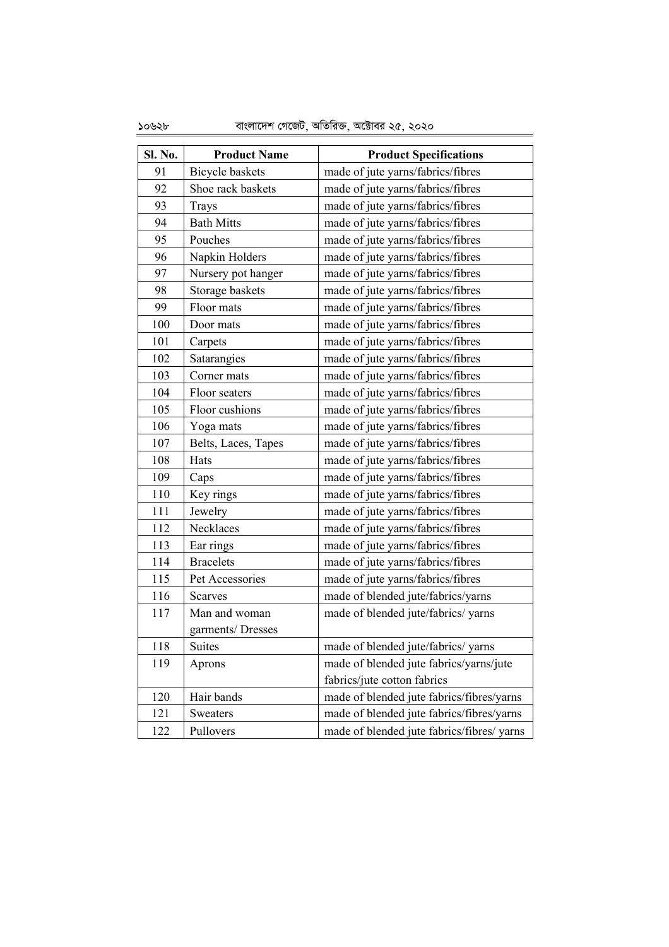10628 evsjv‡`k †M‡RU, AwZwi³, A‡±vei 25, 2020

| Sl. No. | <b>Product Name</b> | <b>Product Specifications</b>              |
|---------|---------------------|--------------------------------------------|
| 91      | Bicycle baskets     | made of jute yarns/fabrics/fibres          |
| 92      | Shoe rack baskets   | made of jute yarns/fabrics/fibres          |
| 93      | Trays               | made of jute yarns/fabrics/fibres          |
| 94      | <b>Bath Mitts</b>   | made of jute yarns/fabrics/fibres          |
| 95      | Pouches             | made of jute yarns/fabrics/fibres          |
| 96      | Napkin Holders      | made of jute yarns/fabrics/fibres          |
| 97      | Nursery pot hanger  | made of jute yarns/fabrics/fibres          |
| 98      | Storage baskets     | made of jute yarns/fabrics/fibres          |
| 99      | Floor mats          | made of jute yarns/fabrics/fibres          |
| 100     | Door mats           | made of jute yarns/fabrics/fibres          |
| 101     | Carpets             | made of jute yarns/fabrics/fibres          |
| 102     | Satarangies         | made of jute yarns/fabrics/fibres          |
| 103     | Corner mats         | made of jute yarns/fabrics/fibres          |
| 104     | Floor seaters       | made of jute yarns/fabrics/fibres          |
| 105     | Floor cushions      | made of jute yarns/fabrics/fibres          |
| 106     | Yoga mats           | made of jute yarns/fabrics/fibres          |
| 107     | Belts, Laces, Tapes | made of jute yarns/fabrics/fibres          |
| 108     | Hats                | made of jute yarns/fabrics/fibres          |
| 109     | Caps                | made of jute yarns/fabrics/fibres          |
| 110     | Key rings           | made of jute yarns/fabrics/fibres          |
| 111     | Jewelry             | made of jute yarns/fabrics/fibres          |
| 112     | Necklaces           | made of jute yarns/fabrics/fibres          |
| 113     | Ear rings           | made of jute yarns/fabrics/fibres          |
| 114     | <b>Bracelets</b>    | made of jute yarns/fabrics/fibres          |
| 115     | Pet Accessories     | made of jute yarns/fabrics/fibres          |
| 116     | <b>Scarves</b>      | made of blended jute/fabrics/yarns         |
| 117     | Man and woman       | made of blended jute/fabrics/ yarns        |
|         | garments/Dresses    |                                            |
| 118     | Suites              | made of blended jute/fabrics/yarns         |
| 119     | Aprons              | made of blended jute fabrics/yarns/jute    |
|         |                     | fabrics/jute cotton fabrics                |
| 120     | Hair bands          | made of blended jute fabrics/fibres/yarns  |
| 121     | Sweaters            | made of blended jute fabrics/fibres/yarns  |
| 122     | Pullovers           | made of blended jute fabrics/fibres/ yarns |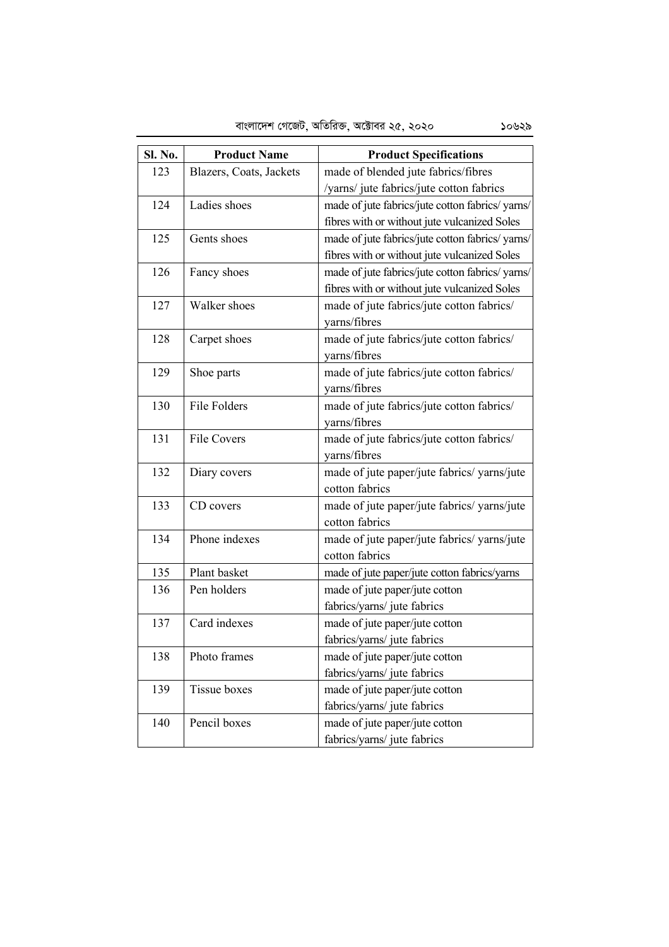| Sl. No. | <b>Product Name</b>     | <b>Product Specifications</b>                   |
|---------|-------------------------|-------------------------------------------------|
| 123     | Blazers, Coats, Jackets | made of blended jute fabrics/fibres             |
|         |                         | /yarns/ jute fabrics/jute cotton fabrics        |
| 124     | Ladies shoes            | made of jute fabrics/jute cotton fabrics/yarns/ |
|         |                         | fibres with or without jute vulcanized Soles    |
| 125     | Gents shoes             | made of jute fabrics/jute cotton fabrics/yarns/ |
|         |                         | fibres with or without jute vulcanized Soles    |
| 126     | Fancy shoes             | made of jute fabrics/jute cotton fabrics/yarns/ |
|         |                         | fibres with or without jute vulcanized Soles    |
| 127     | Walker shoes            | made of jute fabrics/jute cotton fabrics/       |
|         |                         | yarns/fibres                                    |
| 128     | Carpet shoes            | made of jute fabrics/jute cotton fabrics/       |
|         |                         | yarns/fibres                                    |
| 129     | Shoe parts              | made of jute fabrics/jute cotton fabrics/       |
|         |                         | yarns/fibres                                    |
| 130     | File Folders            | made of jute fabrics/jute cotton fabrics/       |
|         |                         | yarns/fibres                                    |
| 131     | <b>File Covers</b>      | made of jute fabrics/jute cotton fabrics/       |
|         |                         | yarns/fibres                                    |
| 132     | Diary covers            | made of jute paper/jute fabrics/ yarns/jute     |
|         |                         | cotton fabrics                                  |
| 133     | CD covers               | made of jute paper/jute fabrics/ yarns/jute     |
|         |                         | cotton fabrics                                  |
| 134     | Phone indexes           | made of jute paper/jute fabrics/ yarns/jute     |
|         |                         | cotton fabrics                                  |
| 135     | Plant basket            | made of jute paper/jute cotton fabrics/yarns    |
| 136     | Pen holders             | made of jute paper/jute cotton                  |
|         |                         | fabrics/yarns/ jute fabrics                     |
| 137     | Card indexes            | made of jute paper/jute cotton                  |
|         |                         | fabrics/yarns/ jute fabrics                     |
| 138     | Photo frames            | made of jute paper/jute cotton                  |
|         |                         | fabrics/yarns/ jute fabrics                     |
| 139     | <b>Tissue boxes</b>     | made of jute paper/jute cotton                  |
|         |                         | fabrics/yarns/ jute fabrics                     |
| 140     | Pencil boxes            | made of jute paper/jute cotton                  |
|         |                         | fabrics/yarns/ jute fabrics                     |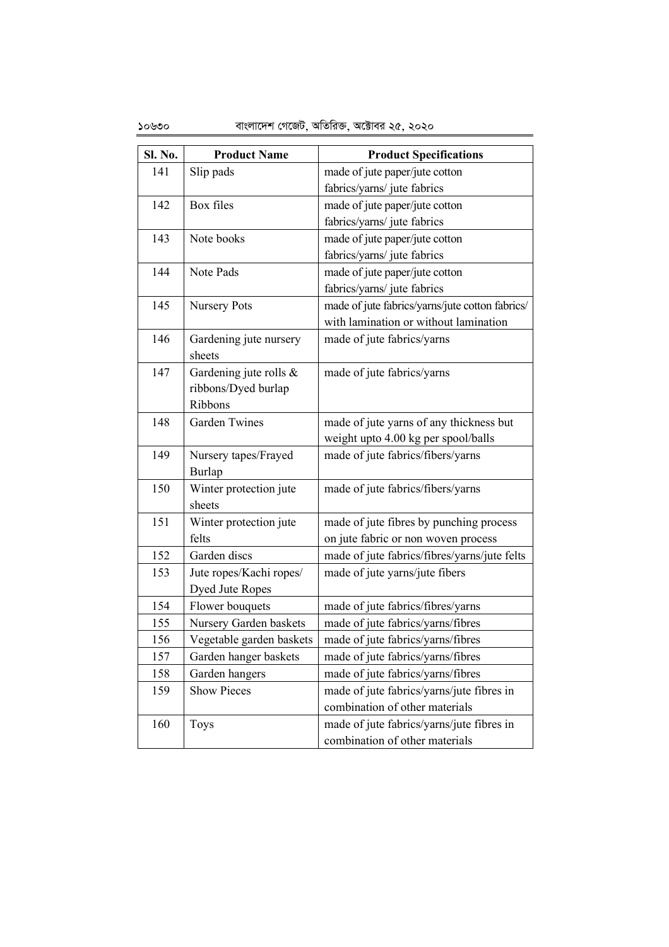| Sl. No. | <b>Product Name</b>      | <b>Product Specifications</b>                   |
|---------|--------------------------|-------------------------------------------------|
| 141     | Slip pads                | made of jute paper/jute cotton                  |
|         |                          | fabrics/yarns/ jute fabrics                     |
| 142     | Box files                | made of jute paper/jute cotton                  |
|         |                          | fabrics/yarns/ jute fabrics                     |
| 143     | Note books               | made of jute paper/jute cotton                  |
|         |                          | fabrics/yarns/ jute fabrics                     |
| 144     | Note Pads                | made of jute paper/jute cotton                  |
|         |                          | fabrics/yarns/ jute fabrics                     |
| 145     | <b>Nursery Pots</b>      | made of jute fabrics/yarns/jute cotton fabrics/ |
|         |                          | with lamination or without lamination           |
| 146     | Gardening jute nursery   | made of jute fabrics/yarns                      |
|         | sheets                   |                                                 |
| 147     | Gardening jute rolls &   | made of jute fabrics/yarns                      |
|         | ribbons/Dyed burlap      |                                                 |
|         | Ribbons                  |                                                 |
| 148     | <b>Garden Twines</b>     | made of jute yarns of any thickness but         |
|         |                          | weight upto 4.00 kg per spool/balls             |
| 149     | Nursery tapes/Frayed     | made of jute fabrics/fibers/yarns               |
|         | Burlap                   |                                                 |
| 150     | Winter protection jute   | made of jute fabrics/fibers/yarns               |
|         | sheets                   |                                                 |
| 151     | Winter protection jute   | made of jute fibres by punching process         |
|         | felts                    | on jute fabric or non woven process             |
| 152     | Garden discs             | made of jute fabrics/fibres/yarns/jute felts    |
| 153     | Jute ropes/Kachi ropes/  | made of jute yarns/jute fibers                  |
|         | Dyed Jute Ropes          |                                                 |
| 154     | Flower bouquets          | made of jute fabrics/fibres/yarns               |
| 155     | Nursery Garden baskets   | made of jute fabrics/yarns/fibres               |
| 156     | Vegetable garden baskets | made of jute fabrics/yarns/fibres               |
| 157     | Garden hanger baskets    | made of jute fabrics/yarns/fibres               |
| 158     | Garden hangers           | made of jute fabrics/yarns/fibres               |
| 159     | <b>Show Pieces</b>       | made of jute fabrics/yarns/jute fibres in       |
|         |                          | combination of other materials                  |
| 160     | <b>Toys</b>              | made of jute fabrics/yarns/jute fibres in       |
|         |                          | combination of other materials                  |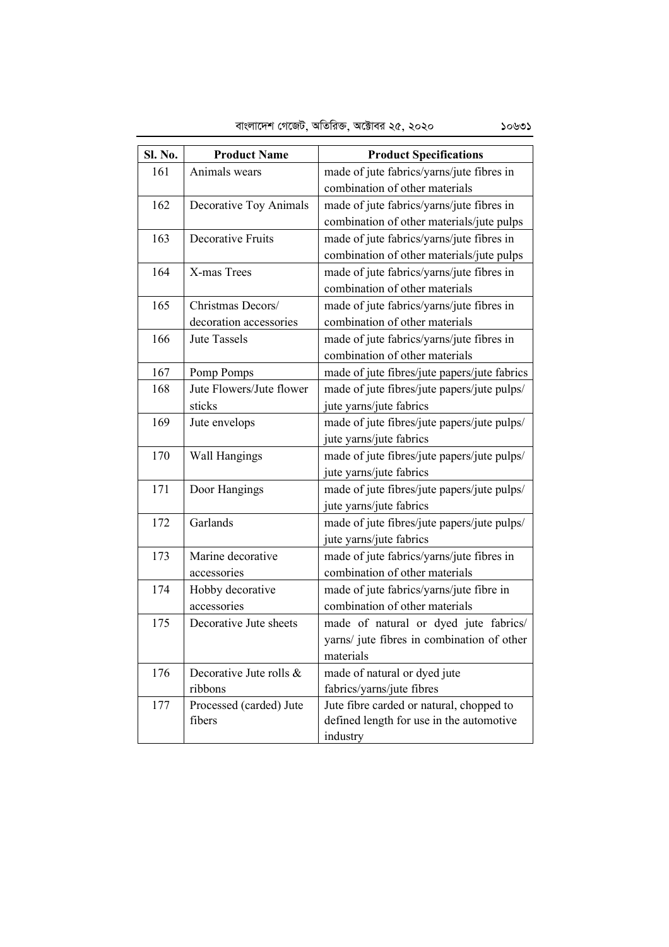| Sl. No. | <b>Product Name</b>      | <b>Product Specifications</b>                |
|---------|--------------------------|----------------------------------------------|
| 161     | Animals wears            | made of jute fabrics/yarns/jute fibres in    |
|         |                          | combination of other materials               |
| 162     | Decorative Toy Animals   | made of jute fabrics/yarns/jute fibres in    |
|         |                          | combination of other materials/jute pulps    |
| 163     | Decorative Fruits        | made of jute fabrics/yarns/jute fibres in    |
|         |                          | combination of other materials/jute pulps    |
| 164     | X-mas Trees              | made of jute fabrics/yarns/jute fibres in    |
|         |                          | combination of other materials               |
| 165     | Christmas Decors/        | made of jute fabrics/yarns/jute fibres in    |
|         | decoration accessories   | combination of other materials               |
| 166     | <b>Jute Tassels</b>      | made of jute fabrics/yarns/jute fibres in    |
|         |                          | combination of other materials               |
| 167     | Pomp Pomps               | made of jute fibres/jute papers/jute fabrics |
| 168     | Jute Flowers/Jute flower | made of jute fibres/jute papers/jute pulps/  |
|         | sticks                   | jute yarns/jute fabrics                      |
| 169     | Jute envelops            | made of jute fibres/jute papers/jute pulps/  |
|         |                          | jute yarns/jute fabrics                      |
| 170     | Wall Hangings            | made of jute fibres/jute papers/jute pulps/  |
|         |                          | jute yarns/jute fabrics                      |
| 171     | Door Hangings            | made of jute fibres/jute papers/jute pulps/  |
|         |                          | jute yarns/jute fabrics                      |
| 172     | Garlands                 | made of jute fibres/jute papers/jute pulps/  |
|         |                          | jute yarns/jute fabrics                      |
| 173     | Marine decorative        | made of jute fabrics/yarns/jute fibres in    |
|         | accessories              | combination of other materials               |
| 174     | Hobby decorative         | made of jute fabrics/yarns/jute fibre in     |
|         | accessories              | combination of other materials               |
| 175     | Decorative Jute sheets   | made of natural or dyed jute fabrics/        |
|         |                          | yarns/ jute fibres in combination of other   |
|         |                          | materials                                    |
| 176     | Decorative Jute rolls &  | made of natural or dyed jute                 |
|         | ribbons                  | fabrics/yarns/jute fibres                    |
| 177     | Processed (carded) Jute  | Jute fibre carded or natural, chopped to     |
|         | fibers                   | defined length for use in the automotive     |
|         |                          | industry                                     |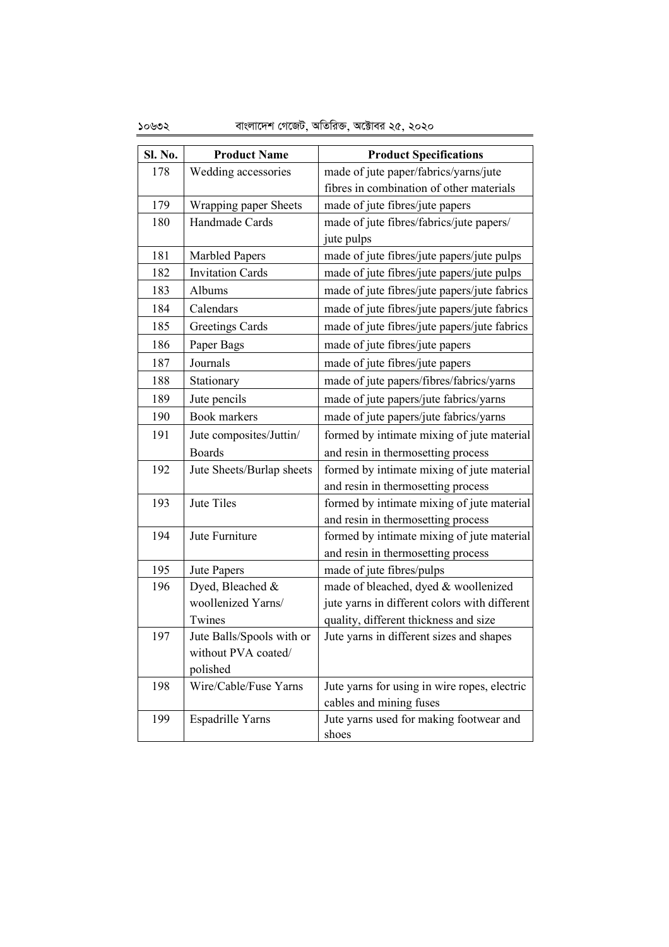| Sl. No. | <b>Product Name</b>       | <b>Product Specifications</b>                    |
|---------|---------------------------|--------------------------------------------------|
| 178     | Wedding accessories       | made of jute paper/fabrics/yarns/jute            |
|         |                           | fibres in combination of other materials         |
| 179     | Wrapping paper Sheets     | made of jute fibres/jute papers                  |
| 180     | Handmade Cards            | made of jute fibres/fabrics/jute papers/         |
|         |                           | jute pulps                                       |
| 181     | <b>Marbled Papers</b>     | made of jute fibres/jute papers/jute pulps       |
| 182     | <b>Invitation Cards</b>   | made of jute fibres/jute papers/jute pulps       |
| 183     | Albums                    | made of jute fibres/jute papers/jute fabrics     |
| 184     | Calendars                 | made of jute fibres/jute papers/jute fabrics     |
| 185     | <b>Greetings Cards</b>    | made of jute fibres/jute papers/jute fabrics     |
| 186     | Paper Bags                | made of jute fibres/jute papers                  |
| 187     | Journals                  | made of jute fibres/jute papers                  |
| 188     | Stationary                | made of jute papers/fibres/fabrics/yarns         |
| 189     | Jute pencils              | made of jute papers/jute fabrics/yarns           |
| 190     | <b>Book</b> markers       | made of jute papers/jute fabrics/yarns           |
| 191     | Jute composites/Juttin/   | formed by intimate mixing of jute material       |
|         | <b>Boards</b>             | and resin in thermosetting process               |
| 192     | Jute Sheets/Burlap sheets | formed by intimate mixing of jute material       |
|         |                           | and resin in thermosetting process               |
| 193     | Jute Tiles                | formed by intimate mixing of jute material       |
|         |                           | and resin in thermosetting process               |
| 194     | Jute Furniture            | formed by intimate mixing of jute material       |
|         |                           | and resin in thermosetting process               |
| 195     | Jute Papers               | made of jute fibres/pulps                        |
| 196     | Dyed, Bleached &          | made of bleached, dyed & woollenized             |
|         | woollenized Yarns/        | jute yarns in different colors with different    |
|         | Twines                    | quality, different thickness and size            |
| 197     | Jute Balls/Spools with or | Jute yarns in different sizes and shapes         |
|         | without PVA coated/       |                                                  |
|         | polished                  |                                                  |
| 198     | Wire/Cable/Fuse Yarns     | Jute yarns for using in wire ropes, electric     |
|         |                           | cables and mining fuses                          |
| 199     | Espadrille Yarns          | Jute yarns used for making footwear and<br>shoes |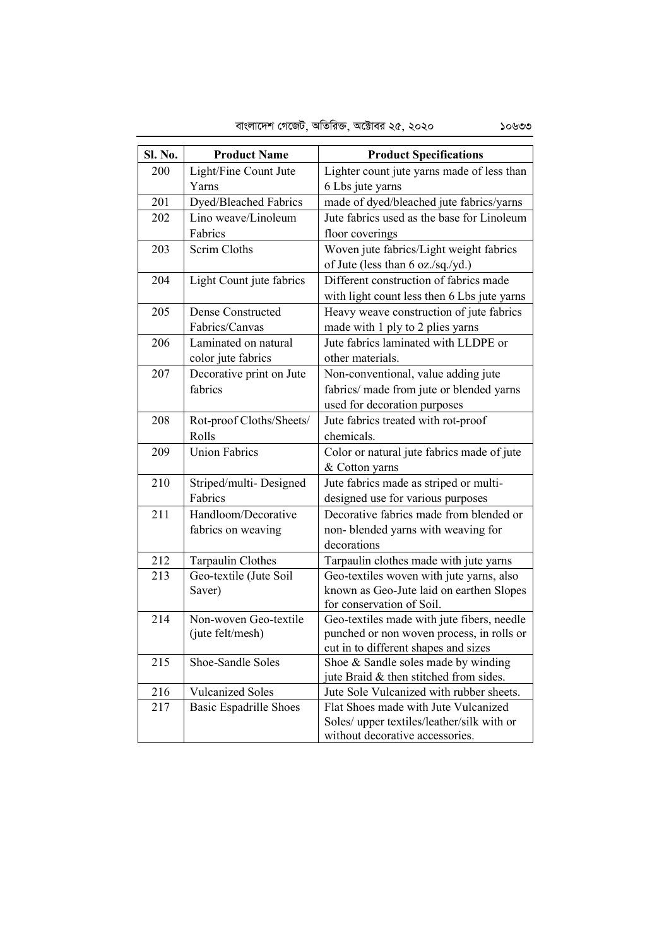| <b>Sl. No.</b> | <b>Product Name</b>           | <b>Product Specifications</b>                                               |
|----------------|-------------------------------|-----------------------------------------------------------------------------|
| 200            | Light/Fine Count Jute         | Lighter count jute yarns made of less than                                  |
|                | Yarns                         | 6 Lbs jute yarns                                                            |
| 201            | Dyed/Bleached Fabrics         | made of dyed/bleached jute fabrics/yarns                                    |
| 202            | Lino weave/Linoleum           | Jute fabrics used as the base for Linoleum                                  |
|                | Fabrics                       | floor coverings                                                             |
| 203            | Scrim Cloths                  | Woven jute fabrics/Light weight fabrics                                     |
|                |                               | of Jute (less than 6 oz./sq./yd.)                                           |
| 204            | Light Count jute fabrics      | Different construction of fabrics made                                      |
|                |                               | with light count less then 6 Lbs jute yarns                                 |
| 205            | Dense Constructed             | Heavy weave construction of jute fabrics                                    |
|                | Fabrics/Canvas                | made with 1 ply to 2 plies yarns                                            |
| 206            | Laminated on natural          | Jute fabrics laminated with LLDPE or                                        |
|                | color jute fabrics            | other materials.                                                            |
| 207            | Decorative print on Jute      | Non-conventional, value adding jute                                         |
|                | fabrics                       | fabrics/ made from jute or blended yarns                                    |
|                |                               | used for decoration purposes                                                |
| 208            | Rot-proof Cloths/Sheets/      | Jute fabrics treated with rot-proof                                         |
|                | Rolls                         | chemicals.                                                                  |
| 209            | <b>Union Fabrics</b>          | Color or natural jute fabrics made of jute                                  |
|                |                               | & Cotton yarns                                                              |
| 210            | Striped/multi-Designed        | Jute fabrics made as striped or multi-                                      |
|                | Fabrics                       | designed use for various purposes                                           |
| 211            | Handloom/Decorative           | Decorative fabrics made from blended or                                     |
|                | fabrics on weaving            | non- blended yarns with weaving for                                         |
|                |                               | decorations                                                                 |
| 212            | Tarpaulin Clothes             | Tarpaulin clothes made with jute yarns                                      |
| 213            | Geo-textile (Jute Soil        | Geo-textiles woven with jute yarns, also                                    |
|                | Saver)                        | known as Geo-Jute laid on earthen Slopes                                    |
|                |                               | for conservation of Soil.                                                   |
| 214            | Non-woven Geo-textile         | Geo-textiles made with jute fibers, needle                                  |
|                | (jute felt/mesh)              | punched or non woven process, in rolls or                                   |
| 215            | Shoe-Sandle Soles             | cut in to different shapes and sizes<br>Shoe & Sandle soles made by winding |
|                |                               | jute Braid & then stitched from sides.                                      |
| 216            | <b>Vulcanized Soles</b>       | Jute Sole Vulcanized with rubber sheets.                                    |
| 217            | <b>Basic Espadrille Shoes</b> | Flat Shoes made with Jute Vulcanized                                        |
|                |                               | Soles/ upper textiles/leather/silk with or                                  |
|                |                               | without decorative accessories.                                             |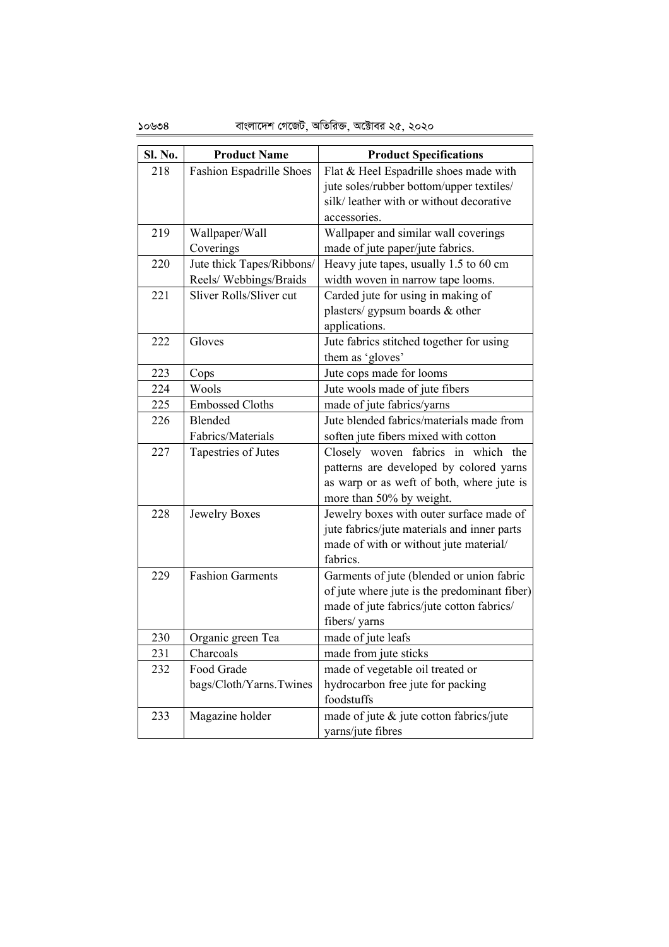| Sl. No. | <b>Product Name</b>       | <b>Product Specifications</b>                                                                                                                          |
|---------|---------------------------|--------------------------------------------------------------------------------------------------------------------------------------------------------|
| 218     | Fashion Espadrille Shoes  | Flat & Heel Espadrille shoes made with                                                                                                                 |
|         |                           | jute soles/rubber bottom/upper textiles/                                                                                                               |
|         |                           | silk/ leather with or without decorative                                                                                                               |
|         |                           | accessories.                                                                                                                                           |
| 219     | Wallpaper/Wall            | Wallpaper and similar wall coverings                                                                                                                   |
|         | Coverings                 | made of jute paper/jute fabrics.                                                                                                                       |
| 220     | Jute thick Tapes/Ribbons/ | Heavy jute tapes, usually 1.5 to 60 cm                                                                                                                 |
|         | Reels/Webbings/Braids     | width woven in narrow tape looms.                                                                                                                      |
| 221     | Sliver Rolls/Sliver cut   | Carded jute for using in making of                                                                                                                     |
|         |                           | plasters/gypsum boards & other                                                                                                                         |
|         |                           | applications.                                                                                                                                          |
| 222     | Gloves                    | Jute fabrics stitched together for using                                                                                                               |
|         |                           | them as 'gloves'                                                                                                                                       |
| 223     | Cops                      | Jute cops made for looms                                                                                                                               |
| 224     | Wools                     | Jute wools made of jute fibers                                                                                                                         |
| 225     | <b>Embossed Cloths</b>    | made of jute fabrics/yarns                                                                                                                             |
| 226     | Blended                   | Jute blended fabrics/materials made from                                                                                                               |
|         | Fabrics/Materials         | soften jute fibers mixed with cotton                                                                                                                   |
| 227     | Tapestries of Jutes       | Closely woven fabrics in which the<br>patterns are developed by colored yarns<br>as warp or as weft of both, where jute is<br>more than 50% by weight. |
| 228     | Jewelry Boxes             | Jewelry boxes with outer surface made of<br>jute fabrics/jute materials and inner parts<br>made of with or without jute material/<br>fabrics.          |
| 229     | <b>Fashion Garments</b>   | Garments of jute (blended or union fabric                                                                                                              |
|         |                           | of jute where jute is the predominant fiber)                                                                                                           |
|         |                           | made of jute fabrics/jute cotton fabrics/                                                                                                              |
|         |                           | fibers/ yarns                                                                                                                                          |
| 230     | Organic green Tea         | made of jute leafs                                                                                                                                     |
| 231     | Charcoals                 | made from jute sticks                                                                                                                                  |
| 232     | Food Grade                | made of vegetable oil treated or                                                                                                                       |
|         | bags/Cloth/Yarns.Twines   | hydrocarbon free jute for packing                                                                                                                      |
|         |                           | foodstuffs                                                                                                                                             |
| 233     | Magazine holder           | made of jute & jute cotton fabrics/jute<br>yarns/jute fibres                                                                                           |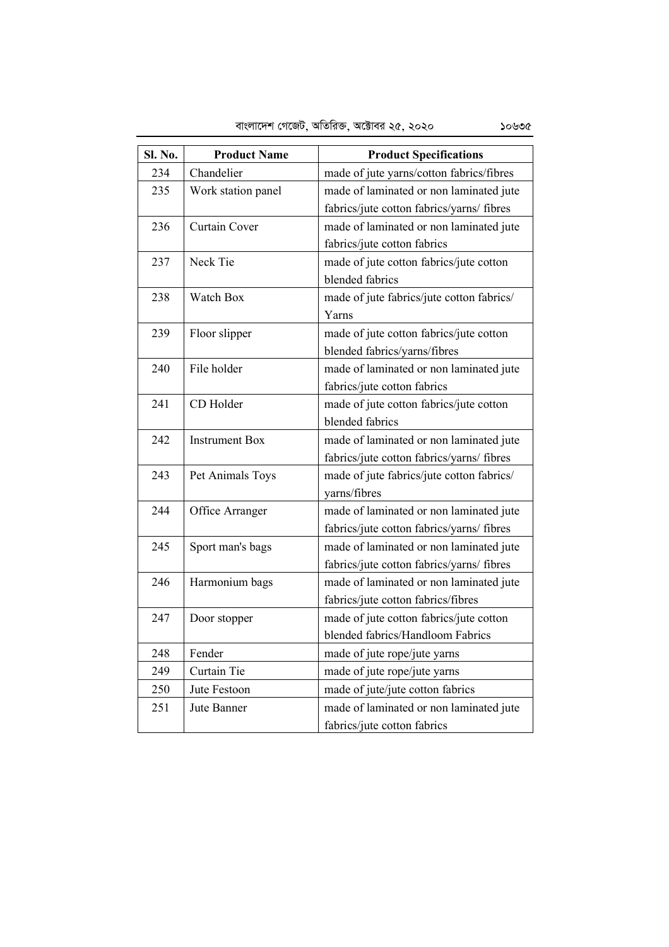| <b>Sl. No.</b> | <b>Product Name</b>   | <b>Product Specifications</b>             |
|----------------|-----------------------|-------------------------------------------|
| 234            | Chandelier            | made of jute yarns/cotton fabrics/fibres  |
| 235            | Work station panel    | made of laminated or non laminated jute   |
|                |                       | fabrics/jute cotton fabrics/yarns/ fibres |
| 236            | Curtain Cover         | made of laminated or non laminated jute   |
|                |                       | fabrics/jute cotton fabrics               |
| 237            | Neck Tie              | made of jute cotton fabrics/jute cotton   |
|                |                       | blended fabrics                           |
| 238            | Watch Box             | made of jute fabrics/jute cotton fabrics/ |
|                |                       | Yarns                                     |
| 239            | Floor slipper         | made of jute cotton fabrics/jute cotton   |
|                |                       | blended fabrics/yarns/fibres              |
| 240            | File holder           | made of laminated or non laminated jute   |
|                |                       | fabrics/jute cotton fabrics               |
| 241            | CD Holder             | made of jute cotton fabrics/jute cotton   |
|                |                       | blended fabrics                           |
| 242            | <b>Instrument Box</b> | made of laminated or non laminated jute   |
|                |                       | fabrics/jute cotton fabrics/yarns/ fibres |
| 243            | Pet Animals Toys      | made of jute fabrics/jute cotton fabrics/ |
|                |                       | yarns/fibres                              |
| 244            | Office Arranger       | made of laminated or non laminated jute   |
|                |                       | fabrics/jute cotton fabrics/yarns/ fibres |
| 245            | Sport man's bags      | made of laminated or non laminated jute   |
|                |                       | fabrics/jute cotton fabrics/yarns/ fibres |
| 246            | Harmonium bags        | made of laminated or non laminated jute   |
|                |                       | fabrics/jute cotton fabrics/fibres        |
| 247            | Door stopper          | made of jute cotton fabrics/jute cotton   |
|                |                       | blended fabrics/Handloom Fabrics          |
| 248            | Fender                | made of jute rope/jute yarns              |
| 249            | Curtain Tie           | made of jute rope/jute yarns              |
| 250            | Jute Festoon          | made of jute/jute cotton fabrics          |
| 251            | Jute Banner           | made of laminated or non laminated jute   |
|                |                       | fabrics/jute cotton fabrics               |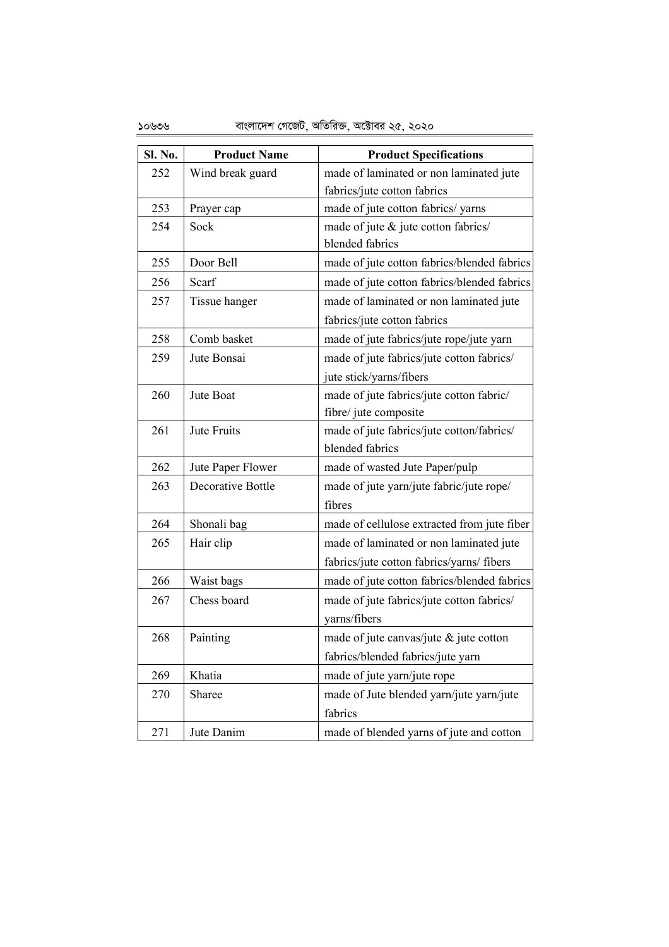| Sl. No. | <b>Product Name</b> | <b>Product Specifications</b>               |
|---------|---------------------|---------------------------------------------|
| 252     | Wind break guard    | made of laminated or non laminated jute     |
|         |                     | fabrics/jute cotton fabrics                 |
| 253     | Prayer cap          | made of jute cotton fabrics/ yarns          |
| 254     | Sock                | made of jute & jute cotton fabrics/         |
|         |                     | blended fabrics                             |
| 255     | Door Bell           | made of jute cotton fabrics/blended fabrics |
| 256     | Scarf               | made of jute cotton fabrics/blended fabrics |
| 257     | Tissue hanger       | made of laminated or non laminated jute     |
|         |                     | fabrics/jute cotton fabrics                 |
| 258     | Comb basket         | made of jute fabrics/jute rope/jute yarn    |
| 259     | Jute Bonsai         | made of jute fabrics/jute cotton fabrics/   |
|         |                     | jute stick/yarns/fibers                     |
| 260     | Jute Boat           | made of jute fabrics/jute cotton fabric/    |
|         |                     | fibre/ jute composite                       |
| 261     | Jute Fruits         | made of jute fabrics/jute cotton/fabrics/   |
|         |                     | blended fabrics                             |
| 262     | Jute Paper Flower   | made of wasted Jute Paper/pulp              |
| 263     | Decorative Bottle   | made of jute yarn/jute fabric/jute rope/    |
|         |                     | fibres                                      |
| 264     | Shonali bag         | made of cellulose extracted from jute fiber |
| 265     | Hair clip           | made of laminated or non laminated jute     |
|         |                     | fabrics/jute cotton fabrics/yarns/ fibers   |
| 266     | Waist bags          | made of jute cotton fabrics/blended fabrics |
| 267     | Chess board         | made of jute fabrics/jute cotton fabrics/   |
|         |                     | yarns/fibers                                |
| 268     | Painting            | made of jute canvas/jute & jute cotton      |
|         |                     | fabrics/blended fabrics/jute yarn           |
| 269     | Khatia              | made of jute yarn/jute rope                 |
| 270     | Sharee              | made of Jute blended yarn/jute yarn/jute    |
|         |                     | fabrics                                     |
| 271     | Jute Danim          | made of blended yarns of jute and cotton    |